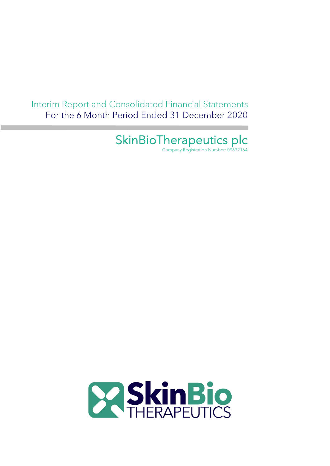Interim Report and Consolidated Financial Statements For the 6 Month Period Ended 31 December 2020

SkinBioTherapeutics plc

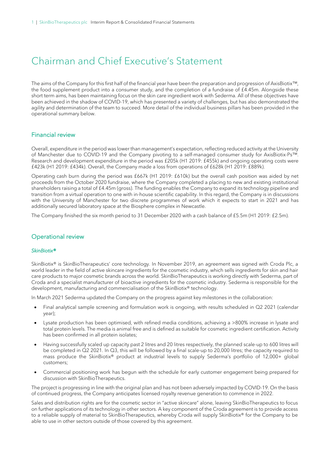### Chairman and Chief Executive's Statement

The aims of the Company for this first half of the financial year have been the preparation and progression of AxisBiotix™, the food supplement product into a consumer study, and the completion of a fundraise of £4.45m. Alongside these short term aims, has been maintaining focus on the skin care ingredient work with Sederma. All of these objectives have been achieved in the shadow of COVID-19, which has presented a variety of challenges, but has also demonstrated the agility and determination of the team to succeed. More detail of the individual business pillars has been provided in the operational summary below.

### Financial review

Overall, expenditure in the period was lower than management's expectation, reflecting reduced activity at the University of Manchester due to COVID-19 and the Company pivoting to a self-managed consumer study for AxisBiotix-Ps™. Research and development expenditure in the period was £205k (H1 2019: £455k) and ongoing operating costs were £423k (H1 2019: £434k). Overall, the Company made a loss from operations of £628k (H1 2019: £889k).

Operating cash burn during the period was £667k (H1 2019: £610k) but the overall cash position was aided by net proceeds from the October 2020 fundraise, where the Company completed a placing to new and existing institutional shareholders raising a total of £4.45m (gross). The funding enables the Company to expand its technology pipeline and transition from a virtual operation to one with in-house scientific capability. In this regard, the Company is in discussions with the University of Manchester for two discrete programmes of work which it expects to start in 2021 and has additionally secured laboratory space at the Biosphere complex in Newcastle.

The Company finished the six month period to 31 December 2020 with a cash balance of £5.5m (H1 2019: £2.5m).

### Operational review

#### *SkinBiotix®*

SkinBiotix® is SkinBioTherapeutics' core technology. In November 2019, an agreement was signed with Croda Plc, a world leader in the field of active skincare ingredients for the cosmetic industry, which sells ingredients for skin and hair care products to major cosmetic brands across the world. SkinBioTherapeutics is working directly with Sederma, part of Croda and a specialist manufacturer of bioactive ingredients for the cosmetic industry. Sederma is responsible for the development, manufacturing and commercialisation of the SkinBiotix® technology.

In March 2021 Sederma updated the Company on the progress against key milestones in the collaboration:

- Final analytical sample screening and formulation work is ongoing, with results scheduled in Q2 2021 (calendar year);
- Lysate production has been optimised, with refined media conditions, achieving a >800% increase in lysate and total protein levels. The media is animal free and is defined as suitable for cosmetic ingredient certification. Activity has been confirmed in all protein isolates;
- Having successfully scaled up capacity past 2 litres and 20 litres respectively, the planned scale-up to 600 litres will be completed in Q2 2021. In Q3, this will be followed by a final scale-up to 20,000 litres; the capacity required to mass produce the SkinBiotix® product at industrial levels to supply Sederma's portfolio of 12,000+ global customers;
- Commercial positioning work has begun with the schedule for early customer engagement being prepared for discussion with SkinBioTherapeutics.

The project is progressing in line with the original plan and has not been adversely impacted by COVID-19. On the basis of continued progress, the Company anticipates licensed royalty revenue generation to commence in 2022.

Sales and distribution rights are for the cosmetic sector in "active skincare" alone, leaving SkinBioTherapeutics to focus on further applications of its technology in other sectors. A key component of the Croda agreement is to provide access to a reliable supply of material to SkinBioTherapeutics, whereby Croda will supply SkinBiotix® for the Company to be able to use in other sectors outside of those covered by this agreement.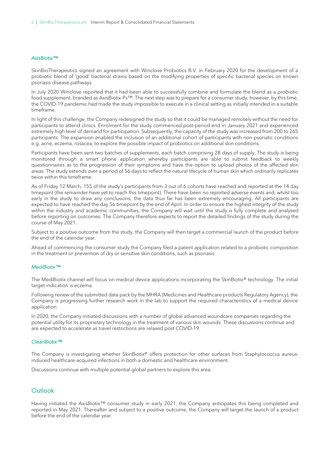#### *AxisBiotix™*

SkinBioTherapeutics signed an agreement with Winclove Probiotics B.V. in February 2020 for the development of a probiotic blend of 'good' bacterial strains based on the modifying properties of specific bacterial species on known psoriasis disease pathways.

In July 2020 Winclove reported that it had been able to successfully combine and formulate the blend as a probiotic food supplement, branded as AxisBiotix-Ps™. The next step was to prepare for a consumer study, however, by this time, the COVID-19 pandemic had made the study impossible to execute in a clinical setting as initially intended in a suitable timeframe.

In light of this challenge, the Company redesigned the study so that it could be managed remotely without the need for participants to attend clinics. Enrolment for the study commenced post-period end in January 2021 and experienced extremely high level of demand for participation. Subsequently, the capacity of the study was increased from 200 to 265 participants. The expansion enabled the inclusion of an additional cohort of participants with non-psoriatic conditions e.g. acne, eczema, rosacea, to explore the possible impact of probiotics on additional skin conditions.

Participants have been sent two batches of supplements, each batch comprising 28 days of supply. The study is being monitored through a smart phone application whereby participants are able to submit feedback to weekly questionnaires as to the progression of their symptoms and have the option to upload photos of the affected skin areas. The study extends over a period of 56 days to reflect the natural lifecycle of human skin which ordinarily replicates twice within this timeframe.

As of Friday 12 March, 155 of the study's participants from 3 out of 6 cohorts have reached and reported at the 14 day timepoint (the remainder have yet to reach this timepoint). There have been no reported adverse events and, whilst too early in the study to draw any conclusions, the data thus far has been extremely encouraging. All participants are expected to have reached the day 56 timepoint by the end of April. In order to ensure the highest integrity of the study within the industry and academic communities, the Company will wait until the study is fully complete and analysed before reporting on outcomes. The Company therefore expects to report the detailed findings of the study during the course of May 2021.

Subject to a positive outcome from the study, the Company will then target a commercial launch of the product before the end of the calendar year.

Ahead of commencing the consumer study the Company filed a patent application related to a probiotic composition in the treatment or prevention of dry or sensitive skin conditions, such as psoriasis.

#### *MediBiotix™*

The MediBiotix channel will focus on medical device applications incorporating the SkinBiotix® technology. The initial target indication is eczema.

Following review of the submitted data pack by the MHRA (Medicines and Healthcare products Regulatory Agency), the Company is progressing further research work in the lab to support the required characteristics of a medical device application.

In 2020, the Company initiated discussions with a number of global advanced woundcare companies regarding the potential utility for its proprietary technology in the treatment of various skin wounds. These discussions continue and are expected to accelerate as travel restrictions are relaxed post COVID-19.

#### *CleanBiotix™*

The Company is investigating whether SkinBiotix® offers protection for other surfaces from Staphylococcus aureusinduced healthcare-acquired infections in both a domestic and healthcare environment.

Discussions continue with multiple potential global partners to explore this area.

### **Outlook**

Having initiated the AxisBiotix™ consumer study in early 2021, the Company anticipates this being completed and reported in May 2021. Thereafter and subject to a positive outcome, the Company will target the launch of a product before the end of the calendar year.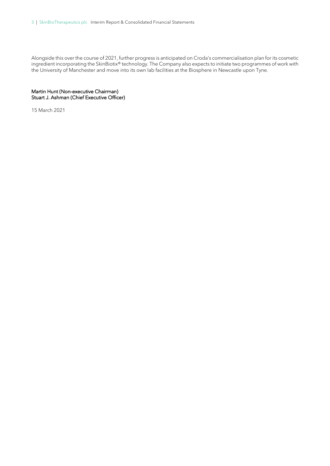Alongside this over the course of 2021, further progress is anticipated on Croda's commercialisation plan for its cosmetic ingredient incorporating the SkinBiotix® technology. The Company also expects to initiate two programmes of work with the University of Manchester and move into its own lab facilities at the Biosphere in Newcastle upon Tyne.

Martin Hunt (Non-executive Chairman) Stuart J. Ashman (Chief Executive Officer)

15 March 2021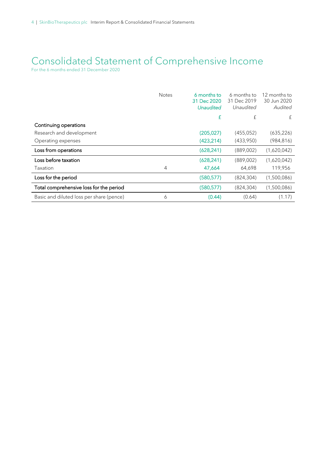### Consolidated Statement of Comprehensive Income

For the 6 months ended 31 December 2020

|                                          | <b>Notes</b>   | 6 months to<br>31 Dec 2020<br><b>Unaudited</b> | 6 months to<br>31 Dec 2019<br>Unaudited | 12 months to<br>30 Jun 2020<br>Audited |
|------------------------------------------|----------------|------------------------------------------------|-----------------------------------------|----------------------------------------|
|                                          |                | £                                              | £                                       | £                                      |
| Continuing operations                    |                |                                                |                                         |                                        |
| Research and development                 |                | (205, 027)                                     | (455, 052)                              | (635, 226)                             |
| Operating expenses                       |                | (423, 214)                                     | (433,950)                               | (984, 816)                             |
| Loss from operations                     |                | (628, 241)                                     | (889,002)                               | (1,620,042)                            |
| Loss before taxation                     |                | (628, 241)                                     | (889,002)                               | (1,620,042)                            |
| Taxation                                 | $\overline{4}$ | 47,664                                         | 64,698                                  | 119,956                                |
| Loss for the period                      |                | (580, 577)                                     | (824, 304)                              | (1,500,086)                            |
| Total comprehensive loss for the period  |                | (580, 577)                                     | (824, 304)                              | (1,500,086)                            |
| Basic and diluted loss per share (pence) | 6              | (0.44)                                         | (0.64)                                  | (1.17)                                 |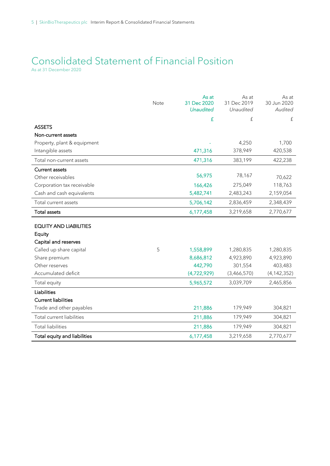# Consolidated Statement of Financial Position

As at 31 December 2020

|                               | Note | As at<br>31 Dec 2020<br><b>Unaudited</b> | As at<br>31 Dec 2019<br>Unaudited | As at<br>30 Jun 2020<br>Audited |
|-------------------------------|------|------------------------------------------|-----------------------------------|---------------------------------|
|                               |      | £                                        | £                                 | $\boldsymbol{\mathrm{f}}$       |
| <b>ASSETS</b>                 |      |                                          |                                   |                                 |
| Non-current assets            |      |                                          |                                   |                                 |
| Property, plant & equipment   |      |                                          | 4,250                             | 1,700                           |
| Intangible assets             |      | 471,316                                  | 378,949                           | 420,538                         |
| Total non-current assets      |      | 471,316                                  | 383,199                           | 422,238                         |
| <b>Current assets</b>         |      |                                          |                                   |                                 |
| Other receivables             |      | 56,975                                   | 78,167                            | 70,622                          |
| Corporation tax receivable    |      | 166,426                                  | 275,049                           | 118,763                         |
| Cash and cash equivalents     |      | 5,482,741                                | 2,483,243                         | 2,159,054                       |
| Total current assets          |      | 5,706,142                                | 2,836,459                         | 2,348,439                       |
| <b>Total assets</b>           |      | 6,177,458                                | 3,219,658                         | 2,770,677                       |
| <b>EQUITY AND LIABILITIES</b> |      |                                          |                                   |                                 |
| Equity                        |      |                                          |                                   |                                 |
| Capital and reserves          |      |                                          |                                   |                                 |
| Called up share capital       | 5    | 1,558,899                                | 1,280,835                         | 1,280,835                       |
| Share premium                 |      | 8,686,812                                | 4,923,890                         | 4,923,890                       |
| Other reserves                |      | 442,790                                  | 301,554                           | 403,483                         |
| Accumulated deficit           |      | (4,722,929)                              | (3,466,570)                       | (4, 142, 352)                   |
| Total equity                  |      | 5,965,572                                | 3,039,709                         | 2,465,856                       |
| Liabilities                   |      |                                          |                                   |                                 |
| <b>Current liabilities</b>    |      |                                          |                                   |                                 |
| Trade and other payables      |      | 211,886                                  | 179,949                           | 304,821                         |
| Total current liabilities     |      | 211,886                                  | 179,949                           | 304,821                         |
| <b>Total liabilities</b>      |      | 211,886                                  | 179,949                           | 304,821                         |
| Total equity and liabilities  |      | 6,177,458                                | 3,219,658                         | 2,770,677                       |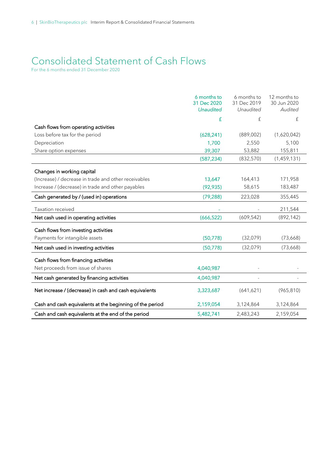### Consolidated Statement of Cash Flows

For the 6 months ended 31 December 2020

|                                                          | 6 months to<br>31 Dec 2020<br><b>Unaudited</b> | 6 months to<br>31 Dec 2019<br>Unaudited | 12 months to<br>30 Jun 2020<br>Audited |
|----------------------------------------------------------|------------------------------------------------|-----------------------------------------|----------------------------------------|
|                                                          | £                                              | £                                       | £                                      |
| Cash flows from operating activities                     |                                                |                                         |                                        |
| Loss before tax for the period                           | (628, 241)                                     | (889,002)                               | (1,620,042)                            |
| Depreciation                                             | 1,700                                          | 2,550                                   | 5,100                                  |
| Share option expenses                                    | 39,307                                         | 53,882                                  | 155,811                                |
|                                                          | (587, 234)                                     | (832, 570)                              | (1,459,131)                            |
| Changes in working capital                               |                                                |                                         |                                        |
| (Increase) / decrease in trade and other receivables     | 13,647                                         | 164,413                                 | 171,958                                |
| Increase / (decrease) in trade and other payables        | (92, 935)                                      | 58,615                                  | 183,487                                |
| Cash generated by / (used in) operations                 | (79, 288)                                      | 223,028                                 | 355,445                                |
| Taxation received                                        |                                                |                                         | 211,544                                |
| Net cash used in operating activities                    | (666, 522)                                     | (609, 542)                              | (892, 142)                             |
| Cash flows from investing activities                     |                                                |                                         |                                        |
| Payments for intangible assets                           | (50, 778)                                      | (32,079)                                | (73,668)                               |
| Net cash used in investing activities                    | (50, 778)                                      | (32,079)                                | (73,668)                               |
| Cash flows from financing activities                     |                                                |                                         |                                        |
| Net proceeds from issue of shares                        | 4,040,987                                      |                                         |                                        |
| Net cash generated by financing activities               | 4,040,987                                      |                                         |                                        |
| Net increase / (decrease) in cash and cash equivalents   | 3,323,687                                      | (641, 621)                              | (965, 810)                             |
| Cash and cash equivalents at the beginning of the period | 2,159,054                                      | 3,124,864                               | 3,124,864                              |
| Cash and cash equivalents at the end of the period       | 5,482,741                                      | 2,483,243                               | 2,159,054                              |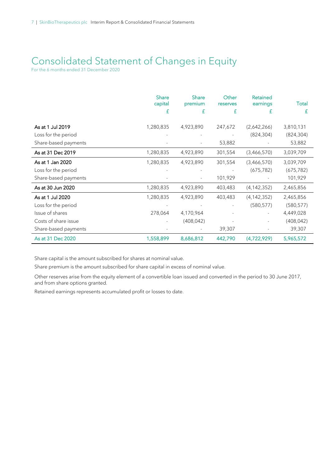## Consolidated Statement of Changes in Equity

For the 6 months ended 31 December 2020

|                      | <b>Share</b><br>capital | <b>Share</b><br>premium | Other<br>reserves | <b>Retained</b><br>earnings | Total      |
|----------------------|-------------------------|-------------------------|-------------------|-----------------------------|------------|
|                      | £                       | £                       | £                 | £                           | £          |
| As at 1 Jul 2019     | 1,280,835               | 4,923,890               | 247,672           | (2,642,266)                 | 3,810,131  |
| Loss for the period  |                         |                         |                   | (824, 304)                  | (824, 304) |
| Share-based payments |                         |                         | 53,882            |                             | 53,882     |
| As at 31 Dec 2019    | 1,280,835               | 4,923,890               | 301,554           | (3,466,570)                 | 3,039,709  |
| As at 1 Jan 2020     | 1,280,835               | 4,923,890               | 301,554           | (3,466,570)                 | 3,039,709  |
| Loss for the period  |                         |                         |                   | (675, 782)                  | (675, 782) |
| Share-based payments |                         |                         | 101,929           |                             | 101,929    |
| As at 30 Jun 2020    | 1,280,835               | 4,923,890               | 403,483           | (4, 142, 352)               | 2,465,856  |
| As at 1 Jul 2020     | 1,280,835               | 4,923,890               | 403,483           | (4, 142, 352)               | 2,465,856  |
| Loss for the period  |                         |                         |                   | (580, 577)                  | (580, 577) |
| Issue of shares      | 278,064                 | 4,170,964               |                   |                             | 4,449,028  |
| Costs of share issue |                         | (408, 042)              |                   |                             | (408, 042) |
| Share-based payments |                         |                         | 39,307            |                             | 39,307     |
| As at 31 Dec 2020    | 1,558,899               | 8,686,812               | 442,790           | (4,722,929)                 | 5,965,572  |

Share capital is the amount subscribed for shares at nominal value.

Share premium is the amount subscribed for share capital in excess of nominal value.

Other reserves arise from the equity element of a convertible loan issued and converted in the period to 30 June 2017, and from share options granted.

Retained earnings represents accumulated profit or losses to date.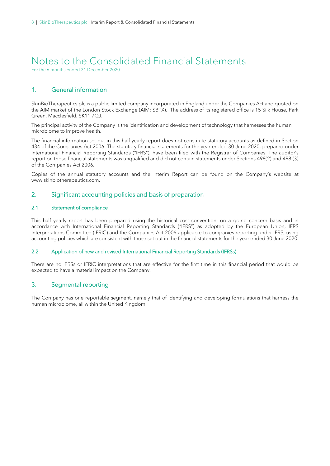## Notes to the Consolidated Financial Statements

For the 6 months ended 31 December 2020

### 1. General information

SkinBioTherapeutics plc is a public limited company incorporated in England under the Companies Act and quoted on the AIM market of the London Stock Exchange (AIM: SBTX). The address of its registered office is 15 Silk House, Park Green, Macclesfield, SK11 7QJ.

The principal activity of the Company is the identification and development of technology that harnesses the human microbiome to improve health.

The financial information set out in this half yearly report does not constitute statutory accounts as defined in Section 434 of the Companies Act 2006. The statutory financial statements for the year ended 30 June 2020, prepared under International Financial Reporting Standards ("IFRS"), have been filed with the Registrar of Companies. The auditor's report on those financial statements was unqualified and did not contain statements under Sections 498(2) and 498 (3) of the Companies Act 2006.

Copies of the annual statutory accounts and the Interim Report can be found on the Company's website at www.skinbiotherapeutics.com.

### 2. Significant accounting policies and basis of preparation

#### 2.1 Statement of compliance

This half yearly report has been prepared using the historical cost convention, on a going concern basis and in accordance with International Financial Reporting Standards ("IFRS") as adopted by the European Union, IFRS Interpretations Committee (IFRIC) and the Companies Act 2006 applicable to companies reporting under IFRS, using accounting policies which are consistent with those set out in the financial statements for the year ended 30 June 2020.

#### 2.2 Application of new and revised International Financial Reporting Standards (IFRSs)

There are no IFRSs or IFRIC interpretations that are effective for the first time in this financial period that would be expected to have a material impact on the Company.

### 3. Segmental reporting

The Company has one reportable segment, namely that of identifying and developing formulations that harness the human microbiome, all within the United Kingdom.